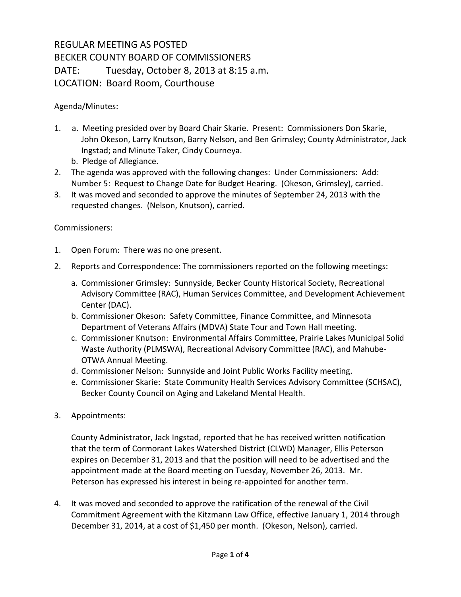## REGULAR MEETING AS POSTED BECKER COUNTY BOARD OF COMMISSIONERS DATE: Tuesday, October 8, 2013 at 8:15 a.m. LOCATION: Board Room, Courthouse

Agenda/Minutes:

- 1. a. Meeting presided over by Board Chair Skarie. Present: Commissioners Don Skarie, John Okeson, Larry Knutson, Barry Nelson, and Ben Grimsley; County Administrator, Jack Ingstad; and Minute Taker, Cindy Courneya.
	- b. Pledge of Allegiance.
- 2. The agenda was approved with the following changes: Under Commissioners: Add: Number 5: Request to Change Date for Budget Hearing. (Okeson, Grimsley), carried.
- 3. It was moved and seconded to approve the minutes of September 24, 2013 with the requested changes. (Nelson, Knutson), carried.

## Commissioners:

- 1. Open Forum: There was no one present.
- 2. Reports and Correspondence: The commissioners reported on the following meetings:
	- a. Commissioner Grimsley: Sunnyside, Becker County Historical Society, Recreational Advisory Committee (RAC), Human Services Committee, and Development Achievement Center (DAC).
	- b. Commissioner Okeson: Safety Committee, Finance Committee, and Minnesota Department of Veterans Affairs (MDVA) State Tour and Town Hall meeting.
	- c. Commissioner Knutson: Environmental Affairs Committee, Prairie Lakes Municipal Solid Waste Authority (PLMSWA), Recreational Advisory Committee (RAC), and Mahube-OTWA Annual Meeting.
	- d. Commissioner Nelson: Sunnyside and Joint Public Works Facility meeting.
	- e. Commissioner Skarie: State Community Health Services Advisory Committee (SCHSAC), Becker County Council on Aging and Lakeland Mental Health.
- 3. Appointments:

County Administrator, Jack Ingstad, reported that he has received written notification that the term of Cormorant Lakes Watershed District (CLWD) Manager, Ellis Peterson expires on December 31, 2013 and that the position will need to be advertised and the appointment made at the Board meeting on Tuesday, November 26, 2013. Mr. Peterson has expressed his interest in being re-appointed for another term.

4. It was moved and seconded to approve the ratification of the renewal of the Civil Commitment Agreement with the Kitzmann Law Office, effective January 1, 2014 through December 31, 2014, at a cost of \$1,450 per month. (Okeson, Nelson), carried.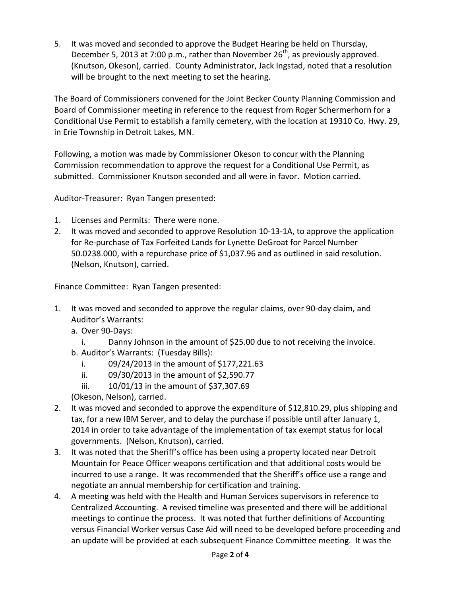5. It was moved and seconded to approve the Budget Hearing be held on Thursday, December 5, 2013 at 7:00 p.m., rather than November  $26<sup>th</sup>$ , as previously approved. (Knutson, Okeson), carried. County Administrator, Jack Ingstad, noted that a resolution will be brought to the next meeting to set the hearing.

The Board of Commissioners convened for the Joint Becker County Planning Commission and Board of Commissioner meeting in reference to the request from Roger Schermerhorn for a Conditional Use Permit to establish a family cemetery, with the location at 19310 Co. Hwy. 29, in Erie Township in Detroit Lakes, MN.

Following, a motion was made by Commissioner Okeson to concur with the Planning Commission recommendation to approve the request for a Conditional Use Permit, as submitted. Commissioner Knutson seconded and all were in favor. Motion carried.

Auditor-Treasurer: Ryan Tangen presented:

- 1. Licenses and Permits: There were none.
- 2. It was moved and seconded to approve Resolution 10-13-1A, to approve the application for Re-purchase of Tax Forfeited Lands for Lynette DeGroat for Parcel Number 50.0238.000, with a repurchase price of \$1,037.96 and as outlined in said resolution. (Nelson, Knutson), carried.

Finance Committee: Ryan Tangen presented:

- 1. It was moved and seconded to approve the regular claims, over 90-day claim, and Auditor's Warrants:
	- a. Over 90-Days:
		- i. Danny Johnson in the amount of \$25.00 due to not receiving the invoice.
	- b. Auditor's Warrants: (Tuesday Bills):
		- i. 09/24/2013 in the amount of \$177,221.63
		- ii. 09/30/2013 in the amount of \$2,590.77
		- iii. 10/01/13 in the amount of \$37,307.69
	- (Okeson, Nelson), carried.
- 2. It was moved and seconded to approve the expenditure of \$12,810.29, plus shipping and tax, for a new IBM Server, and to delay the purchase if possible until after January 1, 2014 in order to take advantage of the implementation of tax exempt status for local governments. (Nelson, Knutson), carried.
- 3. It was noted that the Sheriff's office has been using a property located near Detroit Mountain for Peace Officer weapons certification and that additional costs would be incurred to use a range. It was recommended that the Sheriff's office use a range and negotiate an annual membership for certification and training.
- 4. A meeting was held with the Health and Human Services supervisors in reference to Centralized Accounting. A revised timeline was presented and there will be additional meetings to continue the process. It was noted that further definitions of Accounting versus Financial Worker versus Case Aid will need to be developed before proceeding and an update will be provided at each subsequent Finance Committee meeting. It was the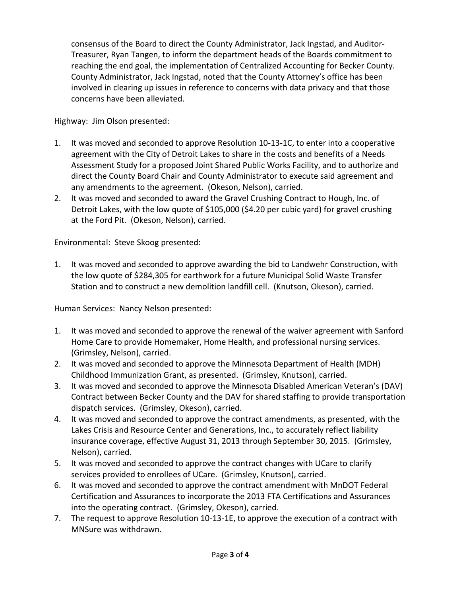consensus of the Board to direct the County Administrator, Jack Ingstad, and Auditor-Treasurer, Ryan Tangen, to inform the department heads of the Boards commitment to reaching the end goal, the implementation of Centralized Accounting for Becker County. County Administrator, Jack Ingstad, noted that the County Attorney's office has been involved in clearing up issues in reference to concerns with data privacy and that those concerns have been alleviated.

Highway: Jim Olson presented:

- 1. It was moved and seconded to approve Resolution 10-13-1C, to enter into a cooperative agreement with the City of Detroit Lakes to share in the costs and benefits of a Needs Assessment Study for a proposed Joint Shared Public Works Facility, and to authorize and direct the County Board Chair and County Administrator to execute said agreement and any amendments to the agreement. (Okeson, Nelson), carried.
- 2. It was moved and seconded to award the Gravel Crushing Contract to Hough, Inc. of Detroit Lakes, with the low quote of \$105,000 (\$4.20 per cubic yard) for gravel crushing at the Ford Pit. (Okeson, Nelson), carried.

Environmental: Steve Skoog presented:

1. It was moved and seconded to approve awarding the bid to Landwehr Construction, with the low quote of \$284,305 for earthwork for a future Municipal Solid Waste Transfer Station and to construct a new demolition landfill cell. (Knutson, Okeson), carried.

Human Services: Nancy Nelson presented:

- 1. It was moved and seconded to approve the renewal of the waiver agreement with Sanford Home Care to provide Homemaker, Home Health, and professional nursing services. (Grimsley, Nelson), carried.
- 2. It was moved and seconded to approve the Minnesota Department of Health (MDH) Childhood Immunization Grant, as presented. (Grimsley, Knutson), carried.
- 3. It was moved and seconded to approve the Minnesota Disabled American Veteran's (DAV) Contract between Becker County and the DAV for shared staffing to provide transportation dispatch services. (Grimsley, Okeson), carried.
- 4. It was moved and seconded to approve the contract amendments, as presented, with the Lakes Crisis and Resource Center and Generations, Inc., to accurately reflect liability insurance coverage, effective August 31, 2013 through September 30, 2015. (Grimsley, Nelson), carried.
- 5. It was moved and seconded to approve the contract changes with UCare to clarify services provided to enrollees of UCare. (Grimsley, Knutson), carried.
- 6. It was moved and seconded to approve the contract amendment with MnDOT Federal Certification and Assurances to incorporate the 2013 FTA Certifications and Assurances into the operating contract. (Grimsley, Okeson), carried.
- 7. The request to approve Resolution 10-13-1E, to approve the execution of a contract with MNSure was withdrawn.